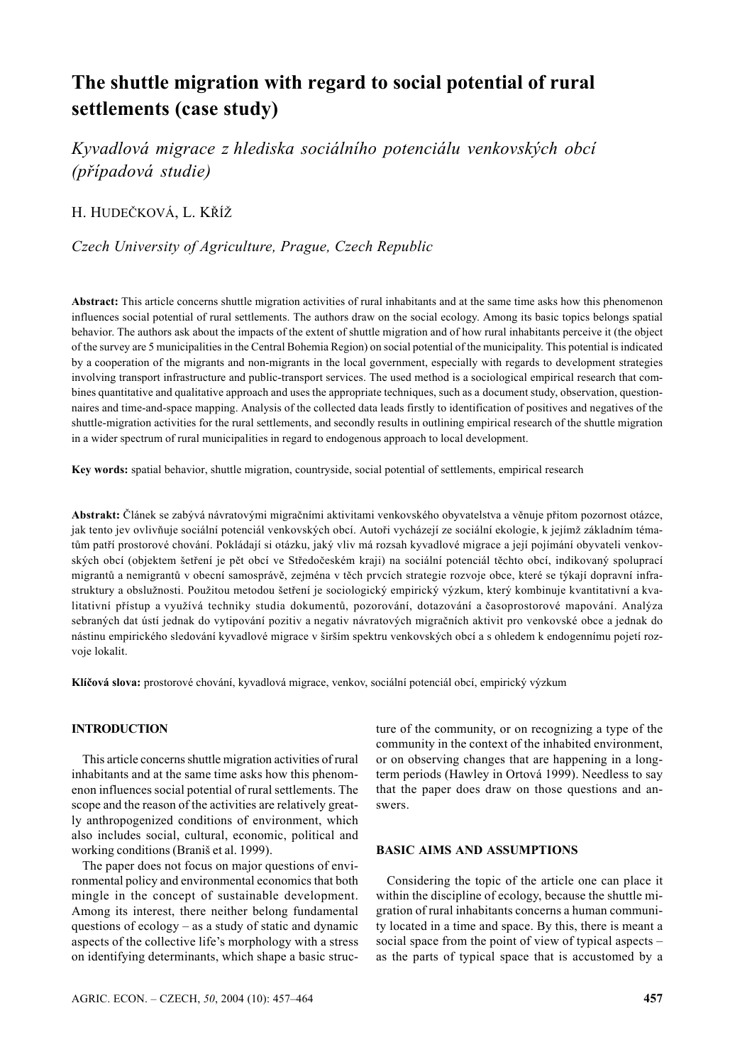# **The shuttle migration with regard to social potential of rural settlements (case study)**

*Kyvadlová migrace z hlediska sociálního potenciálu venkovských obcí (případová studie)*

H. HUDEČKOVÁ, L. KŘÍŽ

*Czech University of Agriculture, Prague, Czech Republic*

**Abstract:** This article concerns shuttle migration activities of rural inhabitants and at the same time asks how this phenomenon influences social potential of rural settlements. The authors draw on the social ecology. Among its basic topics belongs spatial behavior. The authors ask about the impacts of the extent of shuttle migration and of how rural inhabitants perceive it (the object of the survey are 5 municipalities in the Central Bohemia Region) on social potential of the municipality. This potential is indicated by a cooperation of the migrants and non-migrants in the local government, especially with regards to development strategies involving transport infrastructure and public-transport services. The used method is a sociological empirical research that combines quantitative and qualitative approach and uses the appropriate techniques, such as a document study, observation, questionnaires and time-and-space mapping. Analysis of the collected data leads firstly to identification of positives and negatives of the shuttle-migration activities for the rural settlements, and secondly results in outlining empirical research of the shuttle migration in a wider spectrum of rural municipalities in regard to endogenous approach to local development.

**Key words:** spatial behavior, shuttle migration, countryside, social potential of settlements, empirical research

**Abstrakt:** Článek se zabývá návratovými migračními aktivitami venkovského obyvatelstva a věnuje přitom pozornost otázce, jak tento jev ovlivňuje sociální potenciál venkovských obcí. Autoři vycházejí ze sociální ekologie, k jejímž základním tématům patří prostorové chování. Pokládají si otázku, jaký vliv má rozsah kyvadlové migrace a její pojímání obyvateli venkovských obcí (objektem šetření je pět obcí ve Středočeském kraji) na sociální potenciál těchto obcí, indikovaný spoluprací migrantů a nemigrantů v obecní samosprávě, zejména v těch prvcích strategie rozvoje obce, které se týkají dopravní infrastruktury a obslužnosti. Použitou metodou šetření je sociologický empirický výzkum, který kombinuje kvantitativní a kvalitativní přístup a využívá techniky studia dokumentů, pozorování, dotazování a časoprostorové mapování. Analýza sebraných dat ústí jednak do vytipování pozitiv a negativ návratových migračních aktivit pro venkovské obce a jednak do nástinu empirického sledování kyvadlové migrace v širším spektru venkovských obcí a s ohledem k endogennímu pojetí rozvoje lokalit.

**Klíčová slova:** prostorové chování, kyvadlová migrace, venkov, sociální potenciál obcí, empirický výzkum

## **INTRODUCTION**

This article concerns shuttle migration activities of rural inhabitants and at the same time asks how this phenomenon influences social potential of rural settlements. The scope and the reason of the activities are relatively greatly anthropogenized conditions of environment, which also includes social, cultural, economic, political and working conditions (Braniš et al. 1999).

The paper does not focus on major questions of environmental policy and environmental economics that both mingle in the concept of sustainable development. Among its interest, there neither belong fundamental questions of ecology – as a study of static and dynamic aspects of the collective life's morphology with a stress on identifying determinants, which shape a basic structure of the community, or on recognizing a type of the community in the context of the inhabited environment, or on observing changes that are happening in a longterm periods (Hawley in Ortová 1999). Needless to say that the paper does draw on those questions and answers.

## **BASIC AIMS AND ASSUMPTIONS**

Considering the topic of the article one can place it within the discipline of ecology, because the shuttle migration of rural inhabitants concerns a human community located in a time and space. By this, there is meant a social space from the point of view of typical aspects – as the parts of typical space that is accustomed by a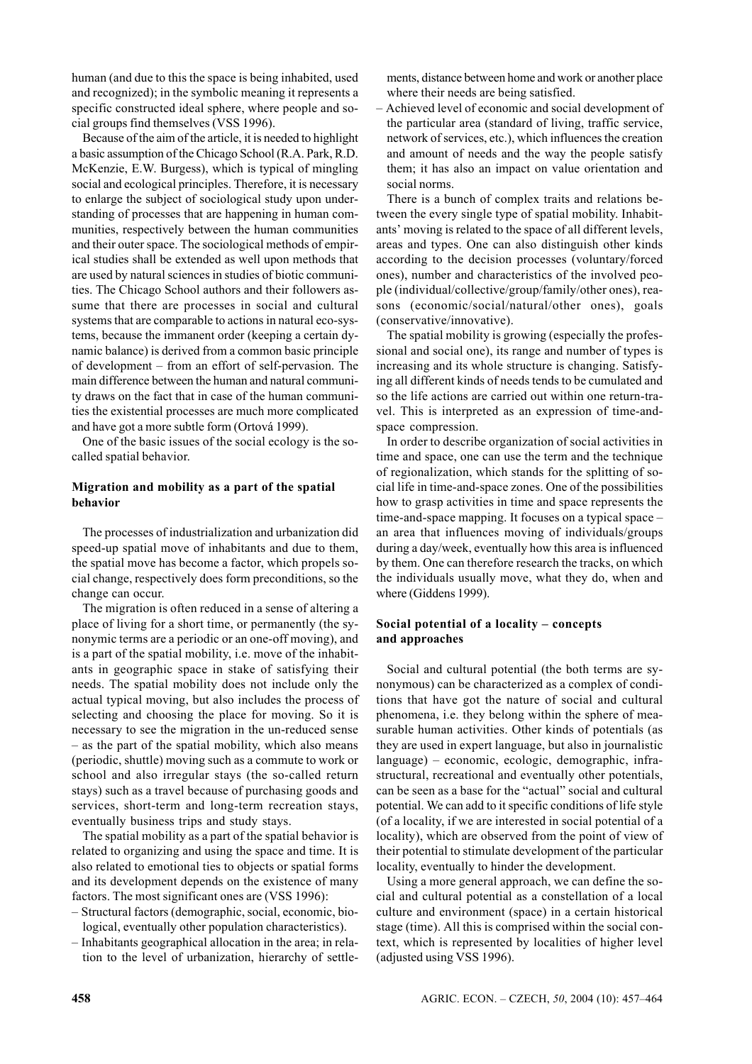human (and due to this the space is being inhabited, used and recognized); in the symbolic meaning it represents a specific constructed ideal sphere, where people and social groups find themselves (VSS 1996).

Because of the aim of the article, it is needed to highlight a basic assumption of the Chicago School (R.A. Park, R.D. McKenzie, E.W. Burgess), which is typical of mingling social and ecological principles. Therefore, it is necessary to enlarge the subject of sociological study upon understanding of processes that are happening in human communities, respectively between the human communities and their outer space. The sociological methods of empirical studies shall be extended as well upon methods that are used by natural sciences in studies of biotic communities. The Chicago School authors and their followers assume that there are processes in social and cultural systems that are comparable to actions in natural eco-systems, because the immanent order (keeping a certain dynamic balance) is derived from a common basic principle of development – from an effort of self-pervasion. The main difference between the human and natural community draws on the fact that in case of the human communities the existential processes are much more complicated and have got a more subtle form (Ortová 1999).

One of the basic issues of the social ecology is the socalled spatial behavior.

## **Migration and mobility as a part of the spatial behavior**

The processes of industrialization and urbanization did speed-up spatial move of inhabitants and due to them, the spatial move has become a factor, which propels social change, respectively does form preconditions, so the change can occur.

The migration is often reduced in a sense of altering a place of living for a short time, or permanently (the synonymic terms are a periodic or an one-off moving), and is a part of the spatial mobility, i.e. move of the inhabitants in geographic space in stake of satisfying their needs. The spatial mobility does not include only the actual typical moving, but also includes the process of selecting and choosing the place for moving. So it is necessary to see the migration in the un-reduced sense – as the part of the spatial mobility, which also means (periodic, shuttle) moving such as a commute to work or school and also irregular stays (the so-called return stays) such as a travel because of purchasing goods and services, short-term and long-term recreation stays, eventually business trips and study stays.

The spatial mobility as a part of the spatial behavior is related to organizing and using the space and time. It is also related to emotional ties to objects or spatial forms and its development depends on the existence of many factors. The most significant ones are (VSS 1996):

- Structural factors (demographic, social, economic, biological, eventually other population characteristics).
- Inhabitants geographical allocation in the area; in relation to the level of urbanization, hierarchy of settle-

ments, distance between home and work or another place where their needs are being satisfied.

– Achieved level of economic and social development of the particular area (standard of living, traffic service, network of services, etc.), which influences the creation and amount of needs and the way the people satisfy them; it has also an impact on value orientation and social norms.

There is a bunch of complex traits and relations between the every single type of spatial mobility. Inhabitants' moving is related to the space of all different levels, areas and types. One can also distinguish other kinds according to the decision processes (voluntary/forced ones), number and characteristics of the involved people (individual/collective/group/family/other ones), reasons (economic/social/natural/other ones), goals (conservative/innovative).

The spatial mobility is growing (especially the professional and social one), its range and number of types is increasing and its whole structure is changing. Satisfying all different kinds of needs tends to be cumulated and so the life actions are carried out within one return-travel. This is interpreted as an expression of time-andspace compression.

In order to describe organization of social activities in time and space, one can use the term and the technique of regionalization, which stands for the splitting of social life in time-and-space zones. One of the possibilities how to grasp activities in time and space represents the time-and-space mapping. It focuses on a typical space – an area that influences moving of individuals/groups during a day/week, eventually how this area is influenced by them. One can therefore research the tracks, on which the individuals usually move, what they do, when and where (Giddens 1999).

## **Social potential of a locality – concepts and approaches**

Social and cultural potential (the both terms are synonymous) can be characterized as a complex of conditions that have got the nature of social and cultural phenomena, i.e. they belong within the sphere of measurable human activities. Other kinds of potentials (as they are used in expert language, but also in journalistic language) – economic, ecologic, demographic, infrastructural, recreational and eventually other potentials, can be seen as a base for the "actual" social and cultural potential. We can add to it specific conditions of life style (of a locality, if we are interested in social potential of a locality), which are observed from the point of view of their potential to stimulate development of the particular locality, eventually to hinder the development.

Using a more general approach, we can define the social and cultural potential as a constellation of a local culture and environment (space) in a certain historical stage (time). All this is comprised within the social context, which is represented by localities of higher level (adjusted using VSS 1996).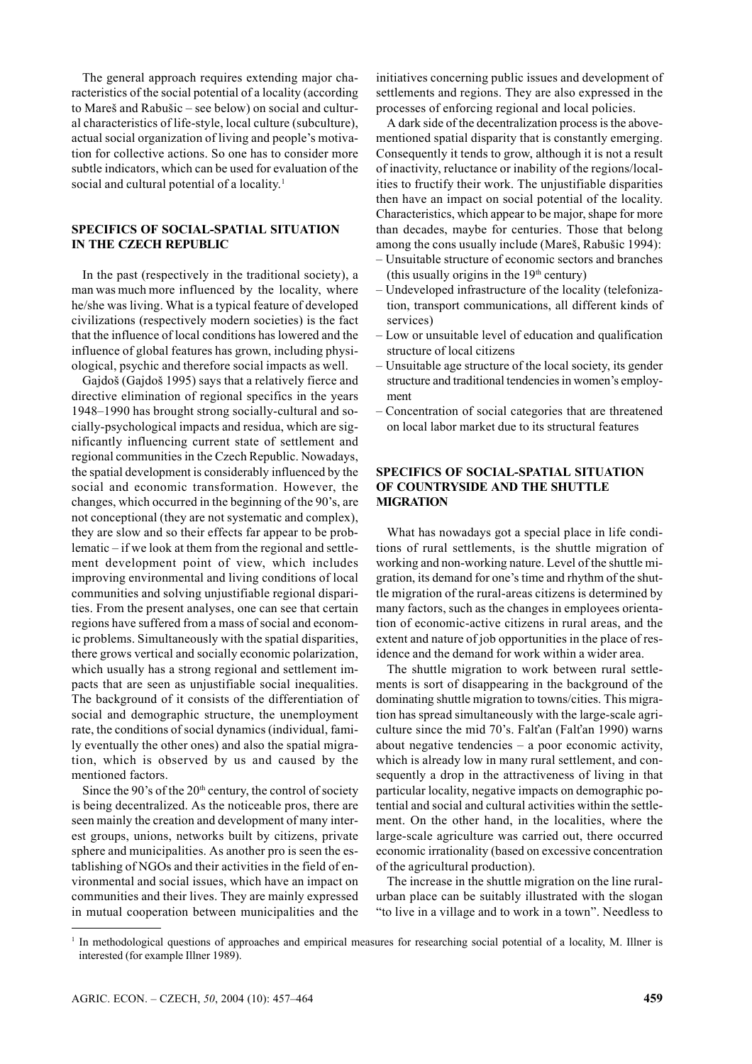The general approach requires extending major characteristics of the social potential of a locality (according to Mareš and Rabušic – see below) on social and cultural characteristics of life-style, local culture (subculture), actual social organization of living and people's motivation for collective actions. So one has to consider more subtle indicators, which can be used for evaluation of the social and cultural potential of a locality.<sup>1</sup>

## **SPECIFICS OF SOCIAL-SPATIAL SITUATION IN THE CZECH REPUBLIC**

In the past (respectively in the traditional society), a man was much more influenced by the locality, where he/she was living. What is a typical feature of developed civilizations (respectively modern societies) is the fact that the influence of local conditions has lowered and the influence of global features has grown, including physiological, psychic and therefore social impacts as well.

Gajdoš (Gajdoš 1995) says that a relatively fierce and directive elimination of regional specifics in the years 1948–1990 has brought strong socially-cultural and socially-psychological impacts and residua, which are significantly influencing current state of settlement and regional communities in the Czech Republic. Nowadays, the spatial development is considerably influenced by the social and economic transformation. However, the changes, which occurred in the beginning of the 90's, are not conceptional (they are not systematic and complex), they are slow and so their effects far appear to be problematic – if we look at them from the regional and settlement development point of view, which includes improving environmental and living conditions of local communities and solving unjustifiable regional disparities. From the present analyses, one can see that certain regions have suffered from a mass of social and economic problems. Simultaneously with the spatial disparities, there grows vertical and socially economic polarization, which usually has a strong regional and settlement impacts that are seen as unjustifiable social inequalities. The background of it consists of the differentiation of social and demographic structure, the unemployment rate, the conditions of social dynamics (individual, family eventually the other ones) and also the spatial migration, which is observed by us and caused by the mentioned factors.

Since the 90's of the  $20<sup>th</sup>$  century, the control of society is being decentralized. As the noticeable pros, there are seen mainly the creation and development of many interest groups, unions, networks built by citizens, private sphere and municipalities. As another pro is seen the establishing of NGOs and their activities in the field of environmental and social issues, which have an impact on communities and their lives. They are mainly expressed in mutual cooperation between municipalities and the initiatives concerning public issues and development of settlements and regions. They are also expressed in the processes of enforcing regional and local policies.

A dark side of the decentralization process is the abovementioned spatial disparity that is constantly emerging. Consequently it tends to grow, although it is not a result of inactivity, reluctance or inability of the regions/localities to fructify their work. The unjustifiable disparities then have an impact on social potential of the locality. Characteristics, which appear to be major, shape for more than decades, maybe for centuries. Those that belong among the cons usually include (Mareš, Rabušic 1994):

- Unsuitable structure of economic sectors and branches (this usually origins in the  $19<sup>th</sup>$  century)
- Undeveloped infrastructure of the locality (telefonization, transport communications, all different kinds of services)
- Low or unsuitable level of education and qualification structure of local citizens
- Unsuitable age structure of the local society, its gender structure and traditional tendencies in women's employment
- Concentration of social categories that are threatened on local labor market due to its structural features

## **SPECIFICS OF SOCIAL-SPATIAL SITUATION OF COUNTRYSIDE AND THE SHUTTLE MIGRATION**

What has nowadays got a special place in life conditions of rural settlements, is the shuttle migration of working and non-working nature. Level of the shuttle migration, its demand for one's time and rhythm of the shuttle migration of the rural-areas citizens is determined by many factors, such as the changes in employees orientation of economic-active citizens in rural areas, and the extent and nature of job opportunities in the place of residence and the demand for work within a wider area.

The shuttle migration to work between rural settlements is sort of disappearing in the background of the dominating shuttle migration to towns/cities. This migration has spread simultaneously with the large-scale agriculture since the mid 70's. Falťan (Falťan 1990) warns about negative tendencies – a poor economic activity, which is already low in many rural settlement, and consequently a drop in the attractiveness of living in that particular locality, negative impacts on demographic potential and social and cultural activities within the settlement. On the other hand, in the localities, where the large-scale agriculture was carried out, there occurred economic irrationality (based on excessive concentration of the agricultural production).

The increase in the shuttle migration on the line ruralurban place can be suitably illustrated with the slogan "to live in a village and to work in a town". Needless to

<sup>&</sup>lt;sup>1</sup> In methodological questions of approaches and empirical measures for researching social potential of a locality, M. Illner is interested (for example Illner 1989).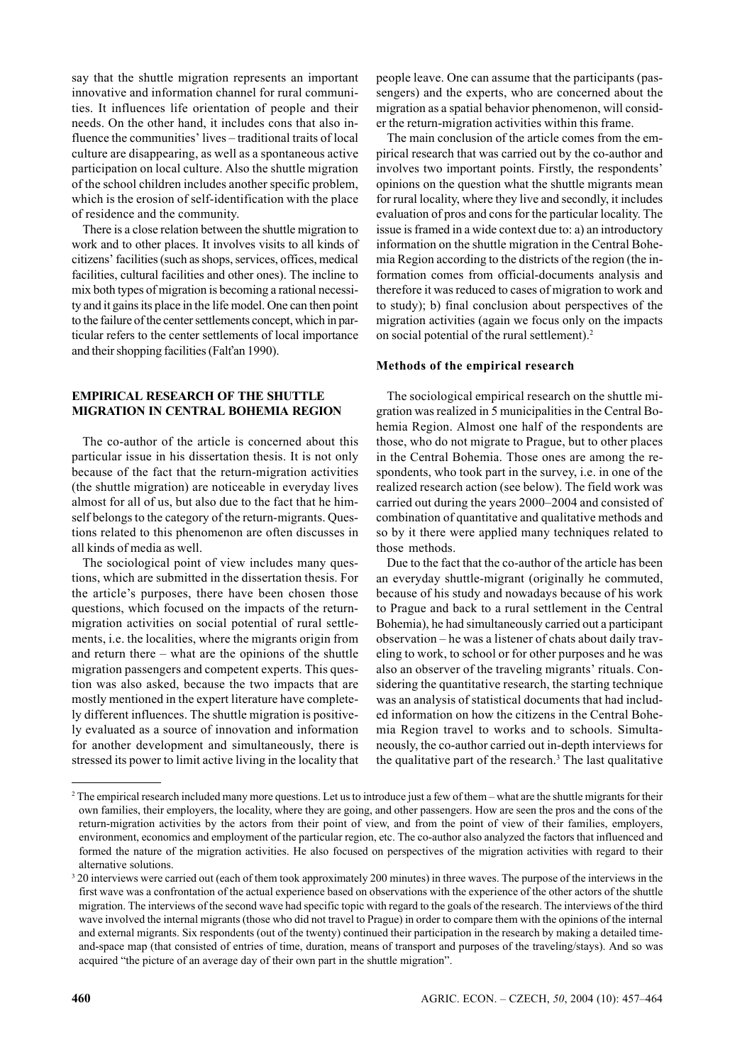say that the shuttle migration represents an important innovative and information channel for rural communities. It influences life orientation of people and their needs. On the other hand, it includes cons that also influence the communities' lives – traditional traits of local culture are disappearing, as well as a spontaneous active participation on local culture. Also the shuttle migration of the school children includes another specific problem, which is the erosion of self-identification with the place of residence and the community.

There is a close relation between the shuttle migration to work and to other places. It involves visits to all kinds of citizens' facilities (such as shops, services, offices, medical facilities, cultural facilities and other ones). The incline to mix both types of migration is becoming a rational necessity and it gains its place in the life model. One can then point to the failure of the center settlements concept, which in particular refers to the center settlements of local importance and their shopping facilities (Falťan 1990).

## **EMPIRICAL RESEARCH OF THE SHUTTLE MIGRATION IN CENTRAL BOHEMIA REGION**

The co-author of the article is concerned about this particular issue in his dissertation thesis. It is not only because of the fact that the return-migration activities (the shuttle migration) are noticeable in everyday lives almost for all of us, but also due to the fact that he himself belongs to the category of the return-migrants. Questions related to this phenomenon are often discusses in all kinds of media as well.

The sociological point of view includes many questions, which are submitted in the dissertation thesis. For the article's purposes, there have been chosen those questions, which focused on the impacts of the returnmigration activities on social potential of rural settlements, i.e. the localities, where the migrants origin from and return there – what are the opinions of the shuttle migration passengers and competent experts. This question was also asked, because the two impacts that are mostly mentioned in the expert literature have completely different influences. The shuttle migration is positively evaluated as a source of innovation and information for another development and simultaneously, there is stressed its power to limit active living in the locality that people leave. One can assume that the participants (passengers) and the experts, who are concerned about the migration as a spatial behavior phenomenon, will consider the return-migration activities within this frame.

The main conclusion of the article comes from the empirical research that was carried out by the co-author and involves two important points. Firstly, the respondents' opinions on the question what the shuttle migrants mean for rural locality, where they live and secondly, it includes evaluation of pros and cons for the particular locality. The issue is framed in a wide context due to: a) an introductory information on the shuttle migration in the Central Bohemia Region according to the districts of the region (the information comes from official-documents analysis and therefore it was reduced to cases of migration to work and to study); b) final conclusion about perspectives of the migration activities (again we focus only on the impacts on social potential of the rural settlement).2

#### **Methods of the empirical research**

The sociological empirical research on the shuttle migration was realized in 5 municipalities in the Central Bohemia Region. Almost one half of the respondents are those, who do not migrate to Prague, but to other places in the Central Bohemia. Those ones are among the respondents, who took part in the survey, i.e. in one of the realized research action (see below). The field work was carried out during the years 2000–2004 and consisted of combination of quantitative and qualitative methods and so by it there were applied many techniques related to those methods.

Due to the fact that the co-author of the article has been an everyday shuttle-migrant (originally he commuted, because of his study and nowadays because of his work to Prague and back to a rural settlement in the Central Bohemia), he had simultaneously carried out a participant observation – he was a listener of chats about daily traveling to work, to school or for other purposes and he was also an observer of the traveling migrants' rituals. Considering the quantitative research, the starting technique was an analysis of statistical documents that had included information on how the citizens in the Central Bohemia Region travel to works and to schools. Simultaneously, the co-author carried out in-depth interviews for the qualitative part of the research.<sup>3</sup> The last qualitative

<sup>2</sup> The empirical research included many more questions. Let us to introduce just a few of them – what are the shuttle migrants for their own families, their employers, the locality, where they are going, and other passengers. How are seen the pros and the cons of the return-migration activities by the actors from their point of view, and from the point of view of their families, employers, environment, economics and employment of the particular region, etc. The co-author also analyzed the factors that influenced and formed the nature of the migration activities. He also focused on perspectives of the migration activities with regard to their alternative solutions.

<sup>&</sup>lt;sup>3</sup> 20 interviews were carried out (each of them took approximately 200 minutes) in three waves. The purpose of the interviews in the first wave was a confrontation of the actual experience based on observations with the experience of the other actors of the shuttle migration. The interviews of the second wave had specific topic with regard to the goals of the research. The interviews of the third wave involved the internal migrants (those who did not travel to Prague) in order to compare them with the opinions of the internal and external migrants. Six respondents (out of the twenty) continued their participation in the research by making a detailed timeand-space map (that consisted of entries of time, duration, means of transport and purposes of the traveling/stays). And so was acquired "the picture of an average day of their own part in the shuttle migration".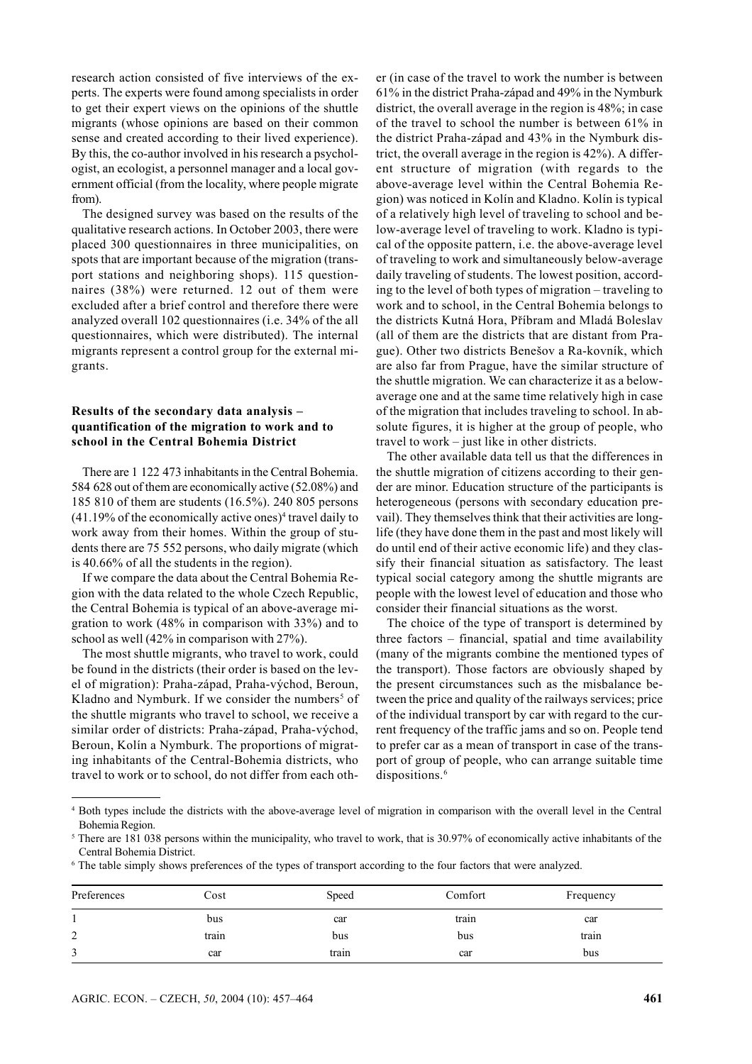research action consisted of five interviews of the experts. The experts were found among specialists in order to get their expert views on the opinions of the shuttle migrants (whose opinions are based on their common sense and created according to their lived experience). By this, the co-author involved in his research a psychologist, an ecologist, a personnel manager and a local government official (from the locality, where people migrate from).

The designed survey was based on the results of the qualitative research actions. In October 2003, there were placed 300 questionnaires in three municipalities, on spots that are important because of the migration (transport stations and neighboring shops). 115 questionnaires (38%) were returned. 12 out of them were excluded after a brief control and therefore there were analyzed overall 102 questionnaires (i.e. 34% of the all questionnaires, which were distributed). The internal migrants represent a control group for the external migrants.

## **Results of the secondary data analysis – quantification of the migration to work and to school in the Central Bohemia District**

There are 1 122 473 inhabitants in the Central Bohemia. 584 628 out of them are economically active (52.08%) and 185 810 of them are students (16.5%). 240 805 persons  $(41.19\%$  of the economically active ones)<sup>4</sup> travel daily to work away from their homes. Within the group of students there are 75 552 persons, who daily migrate (which is 40.66% of all the students in the region).

If we compare the data about the Central Bohemia Region with the data related to the whole Czech Republic, the Central Bohemia is typical of an above-average migration to work (48% in comparison with 33%) and to school as well (42% in comparison with 27%).

The most shuttle migrants, who travel to work, could be found in the districts (their order is based on the level of migration): Praha-západ, Praha-východ, Beroun, Kladno and Nymburk. If we consider the numbers<sup>5</sup> of the shuttle migrants who travel to school, we receive a similar order of districts: Praha-západ, Praha-východ, Beroun, Kolín a Nymburk. The proportions of migrating inhabitants of the Central-Bohemia districts, who travel to work or to school, do not differ from each other (in case of the travel to work the number is between 61% in the district Praha-západ and 49% in the Nymburk district, the overall average in the region is 48%; in case of the travel to school the number is between 61% in the district Praha-západ and 43% in the Nymburk district, the overall average in the region is 42%). A different structure of migration (with regards to the above-average level within the Central Bohemia Region) was noticed in Kolín and Kladno. Kolín is typical of a relatively high level of traveling to school and below-average level of traveling to work. Kladno is typical of the opposite pattern, i.e. the above-average level of traveling to work and simultaneously below-average daily traveling of students. The lowest position, according to the level of both types of migration – traveling to work and to school, in the Central Bohemia belongs to the districts Kutná Hora, Příbram and Mladá Boleslav (all of them are the districts that are distant from Prague). Other two districts Benešov a Ra-kovník, which are also far from Prague, have the similar structure of the shuttle migration. We can characterize it as a belowaverage one and at the same time relatively high in case of the migration that includes traveling to school. In absolute figures, it is higher at the group of people, who travel to work – just like in other districts.

The other available data tell us that the differences in the shuttle migration of citizens according to their gender are minor. Education structure of the participants is heterogeneous (persons with secondary education prevail). They themselves think that their activities are longlife (they have done them in the past and most likely will do until end of their active economic life) and they classify their financial situation as satisfactory. The least typical social category among the shuttle migrants are people with the lowest level of education and those who consider their financial situations as the worst.

The choice of the type of transport is determined by three factors – financial, spatial and time availability (many of the migrants combine the mentioned types of the transport). Those factors are obviously shaped by the present circumstances such as the misbalance between the price and quality of the railways services; price of the individual transport by car with regard to the current frequency of the traffic jams and so on. People tend to prefer car as a mean of transport in case of the transport of group of people, who can arrange suitable time dispositions.<sup>6</sup>

<sup>6</sup> The table simply shows preferences of the types of transport according to the four factors that were analyzed.

| Preferences         | Cost  | Speed | Comfort | Frequency |
|---------------------|-------|-------|---------|-----------|
|                     | bus   | car   | train   | car       |
| ◠<br>∠              | train | bus   | bus     | train     |
| ◠<br>$\mathfrak{I}$ | car   | train | car     | bus       |

<sup>4</sup> Both types include the districts with the above-average level of migration in comparison with the overall level in the Central Bohemia Region.

<sup>&</sup>lt;sup>5</sup> There are 181 038 persons within the municipality, who travel to work, that is 30.97% of economically active inhabitants of the Central Bohemia District.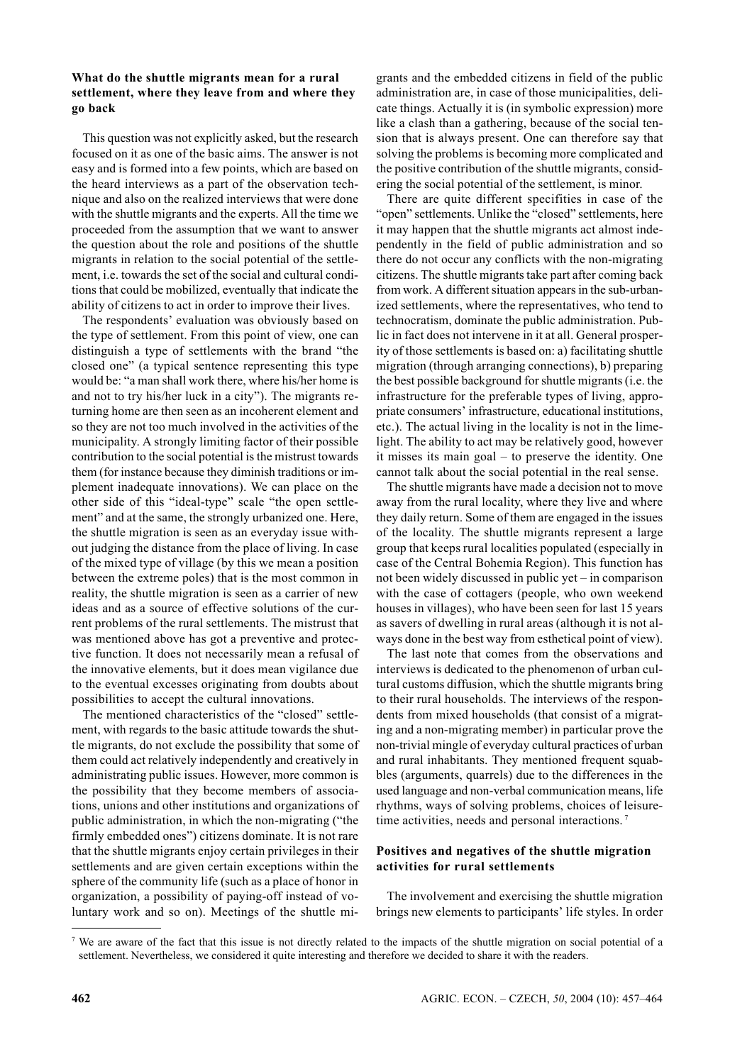## **What do the shuttle migrants mean for a rural settlement, where they leave from and where they go back**

This question was not explicitly asked, but the research focused on it as one of the basic aims. The answer is not easy and is formed into a few points, which are based on the heard interviews as a part of the observation technique and also on the realized interviews that were done with the shuttle migrants and the experts. All the time we proceeded from the assumption that we want to answer the question about the role and positions of the shuttle migrants in relation to the social potential of the settlement, i.e. towards the set of the social and cultural conditions that could be mobilized, eventually that indicate the ability of citizens to act in order to improve their lives.

The respondents' evaluation was obviously based on the type of settlement. From this point of view, one can distinguish a type of settlements with the brand "the closed one" (a typical sentence representing this type would be: "a man shall work there, where his/her home is and not to try his/her luck in a city"). The migrants returning home are then seen as an incoherent element and so they are not too much involved in the activities of the municipality. A strongly limiting factor of their possible contribution to the social potential is the mistrust towards them (for instance because they diminish traditions or implement inadequate innovations). We can place on the other side of this "ideal-type" scale "the open settlement" and at the same, the strongly urbanized one. Here, the shuttle migration is seen as an everyday issue without judging the distance from the place of living. In case of the mixed type of village (by this we mean a position between the extreme poles) that is the most common in reality, the shuttle migration is seen as a carrier of new ideas and as a source of effective solutions of the current problems of the rural settlements. The mistrust that was mentioned above has got a preventive and protective function. It does not necessarily mean a refusal of the innovative elements, but it does mean vigilance due to the eventual excesses originating from doubts about possibilities to accept the cultural innovations.

The mentioned characteristics of the "closed" settlement, with regards to the basic attitude towards the shuttle migrants, do not exclude the possibility that some of them could act relatively independently and creatively in administrating public issues. However, more common is the possibility that they become members of associations, unions and other institutions and organizations of public administration, in which the non-migrating ("the firmly embedded ones") citizens dominate. It is not rare that the shuttle migrants enjoy certain privileges in their settlements and are given certain exceptions within the sphere of the community life (such as a place of honor in organization, a possibility of paying-off instead of voluntary work and so on). Meetings of the shuttle migrants and the embedded citizens in field of the public administration are, in case of those municipalities, delicate things. Actually it is (in symbolic expression) more like a clash than a gathering, because of the social tension that is always present. One can therefore say that solving the problems is becoming more complicated and the positive contribution of the shuttle migrants, considering the social potential of the settlement, is minor.

There are quite different specifities in case of the "open" settlements. Unlike the "closed" settlements, here it may happen that the shuttle migrants act almost independently in the field of public administration and so there do not occur any conflicts with the non-migrating citizens. The shuttle migrants take part after coming back from work. A different situation appears in the sub-urbanized settlements, where the representatives, who tend to technocratism, dominate the public administration. Public in fact does not intervene in it at all. General prosperity of those settlements is based on: a) facilitating shuttle migration (through arranging connections), b) preparing the best possible background for shuttle migrants (i.e. the infrastructure for the preferable types of living, appropriate consumers' infrastructure, educational institutions, etc.). The actual living in the locality is not in the limelight. The ability to act may be relatively good, however it misses its main goal – to preserve the identity. One cannot talk about the social potential in the real sense.

The shuttle migrants have made a decision not to move away from the rural locality, where they live and where they daily return. Some of them are engaged in the issues of the locality. The shuttle migrants represent a large group that keeps rural localities populated (especially in case of the Central Bohemia Region). This function has not been widely discussed in public yet – in comparison with the case of cottagers (people, who own weekend houses in villages), who have been seen for last 15 years as savers of dwelling in rural areas (although it is not always done in the best way from esthetical point of view).

The last note that comes from the observations and interviews is dedicated to the phenomenon of urban cultural customs diffusion, which the shuttle migrants bring to their rural households. The interviews of the respondents from mixed households (that consist of a migrating and a non-migrating member) in particular prove the non-trivial mingle of everyday cultural practices of urban and rural inhabitants. They mentioned frequent squabbles (arguments, quarrels) due to the differences in the used language and non-verbal communication means, life rhythms, ways of solving problems, choices of leisuretime activities, needs and personal interactions.<sup>7</sup>

# **Positives and negatives of the shuttle migration activities for rural settlements**

The involvement and exercising the shuttle migration brings new elements to participants' life styles. In order

<sup>&</sup>lt;sup>7</sup> We are aware of the fact that this issue is not directly related to the impacts of the shuttle migration on social potential of a settlement. Nevertheless, we considered it quite interesting and therefore we decided to share it with the readers.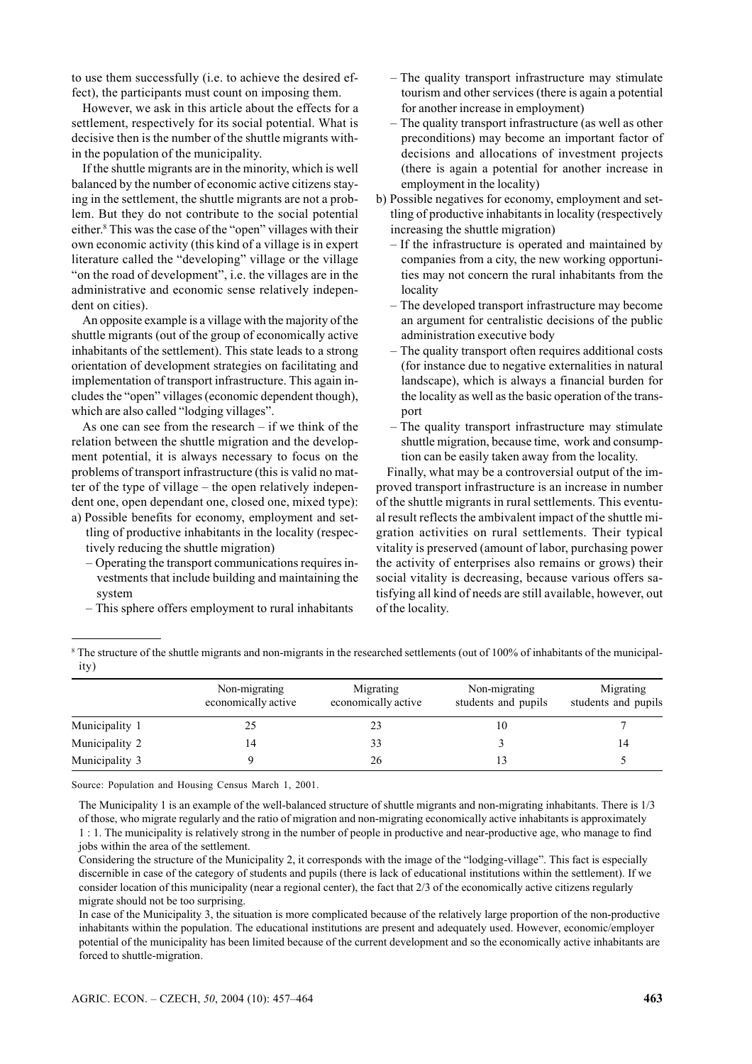to use them successfully (i.e. to achieve the desired effect), the participants must count on imposing them.

However, we ask in this article about the effects for a settlement, respectively for its social potential. What is decisive then is the number of the shuttle migrants within the population of the municipality.

If the shuttle migrants are in the minority, which is well balanced by the number of economic active citizens staying in the settlement, the shuttle migrants are not a problem. But they do not contribute to the social potential either.<sup>8</sup> This was the case of the "open" villages with their own economic activity (this kind of a village is in expert literature called the "developing" village or the village "on the road of development", i.e. the villages are in the administrative and economic sense relatively independent on cities).

An opposite example is a village with the majority of the shuttle migrants (out of the group of economically active inhabitants of the settlement). This state leads to a strong orientation of development strategies on facilitating and implementation of transport infrastructure. This again includes the "open" villages (economic dependent though), which are also called "lodging villages".

As one can see from the research – if we think of the relation between the shuttle migration and the development potential, it is always necessary to focus on the problems of transport infrastructure (this is valid no matter of the type of village – the open relatively independent one, open dependant one, closed one, mixed type): a) Possible benefits for economy, employment and set-

tling of productive inhabitants in the locality (respectively reducing the shuttle migration)

- Operating the transport communications requires investments that include building and maintaining the system
- This sphere offers employment to rural inhabitants
- The quality transport infrastructure may stimulate tourism and other services (there is again a potential for another increase in employment)
- The quality transport infrastructure (as well as other preconditions) may become an important factor of decisions and allocations of investment projects (there is again a potential for another increase in employment in the locality)
- b) Possible negatives for economy, employment and settling of productive inhabitants in locality (respectively increasing the shuttle migration)
	- If the infrastructure is operated and maintained by companies from a city, the new working opportunities may not concern the rural inhabitants from the locality
	- The developed transport infrastructure may become an argument for centralistic decisions of the public administration executive body
	- The quality transport often requires additional costs (for instance due to negative externalities in natural landscape), which is always a financial burden for the locality as well as the basic operation of the transport
	- The quality transport infrastructure may stimulate shuttle migration, because time, work and consumption can be easily taken away from the locality.

Finally, what may be a controversial output of the improved transport infrastructure is an increase in number of the shuttle migrants in rural settlements. This eventual result reflects the ambivalent impact of the shuttle migration activities on rural settlements. Their typical vitality is preserved (amount of labor, purchasing power the activity of enterprises also remains or grows) their social vitality is decreasing, because various offers satisfying all kind of needs are still available, however, out of the locality.

<sup>8</sup> The structure of the shuttle migrants and non-migrants in the researched settlements (out of 100% of inhabitants of the municipality)

|                | Non-migrating<br>economically active | Migrating<br>economically active | Non-migrating<br>students and pupils | Migrating<br>students and pupils |
|----------------|--------------------------------------|----------------------------------|--------------------------------------|----------------------------------|
| Municipality 1 |                                      | 23                               | 10                                   |                                  |
| Municipality 2 | 14                                   | 33                               |                                      | 14                               |
| Municipality 3 |                                      | 26                               |                                      |                                  |

Source: Population and Housing Census March 1, 2001.

The Municipality 1 is an example of the well-balanced structure of shuttle migrants and non-migrating inhabitants. There is 1/3 of those, who migrate regularly and the ratio of migration and non-migrating economically active inhabitants is approximately 1 : 1. The municipality is relatively strong in the number of people in productive and near-productive age, who manage to find jobs within the area of the settlement.

Considering the structure of the Municipality 2, it corresponds with the image of the "lodging-village". This fact is especially discernible in case of the category of students and pupils (there is lack of educational institutions within the settlement). If we consider location of this municipality (near a regional center), the fact that 2/3 of the economically active citizens regularly migrate should not be too surprising.

In case of the Municipality 3, the situation is more complicated because of the relatively large proportion of the non-productive inhabitants within the population. The educational institutions are present and adequately used. However, economic/employer potential of the municipality has been limited because of the current development and so the economically active inhabitants are forced to shuttle-migration.